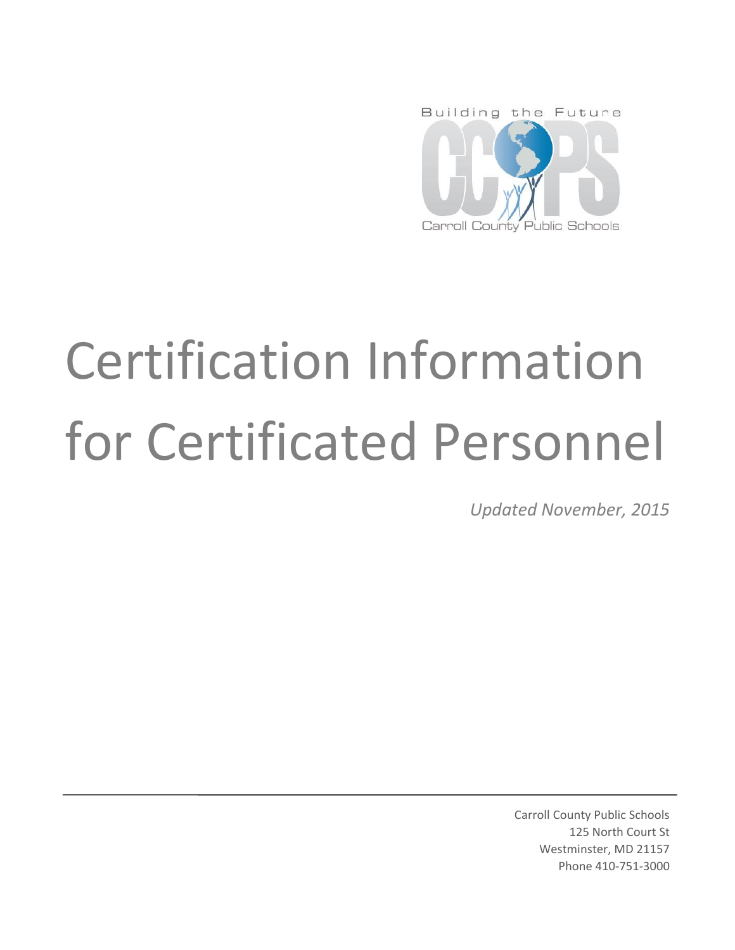

# Certification Information for Certificated Personnel

*Updated November, 2015*

Carroll County Public Schools 125 North Court St Westminster, MD 21157 Phone 410-751-3000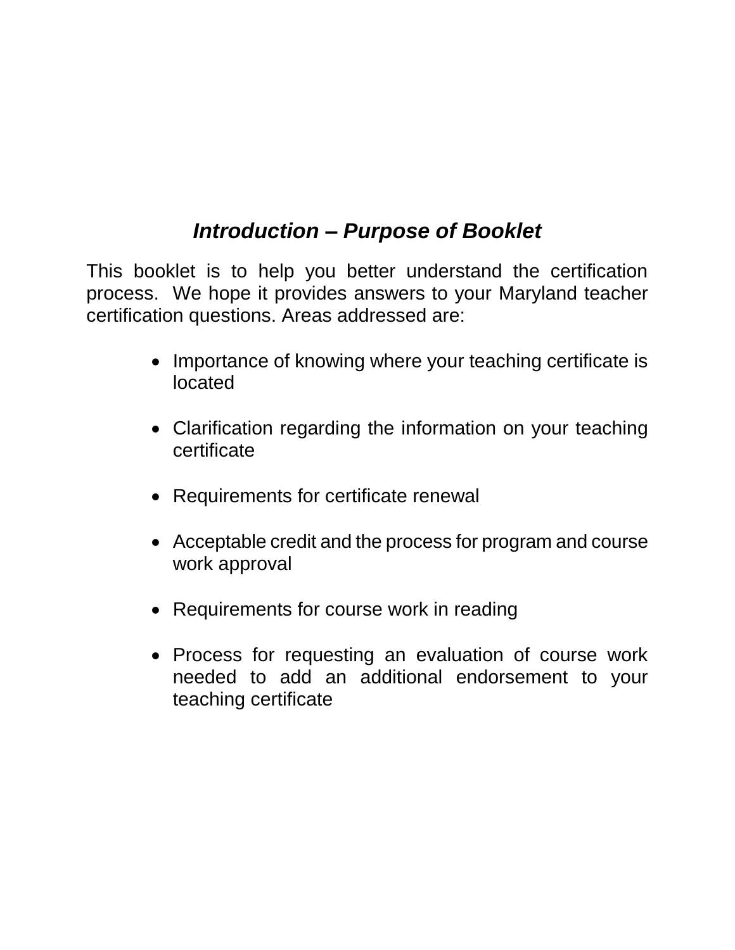## *Introduction – Purpose of Booklet*

This booklet is to help you better understand the certification process. We hope it provides answers to your Maryland teacher certification questions. Areas addressed are:

- Importance of knowing where your teaching certificate is located
- Clarification regarding the information on your teaching certificate
- Requirements for certificate renewal
- Acceptable credit and the process for program and course work approval
- Requirements for course work in reading
- Process for requesting an evaluation of course work needed to add an additional endorsement to your teaching certificate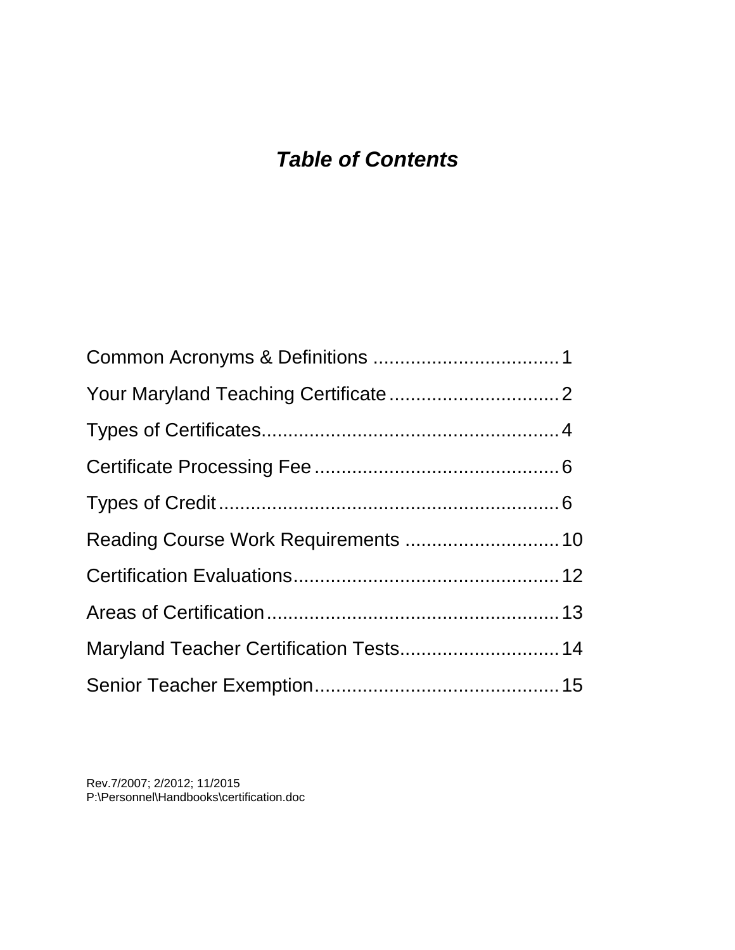## *Table of Contents*

| Reading Course Work Requirements  10    |  |
|-----------------------------------------|--|
|                                         |  |
|                                         |  |
| Maryland Teacher Certification Tests 14 |  |
|                                         |  |

Rev.7/2007; 2/2012; 11/2015 P:\Personnel\Handbooks\certification.doc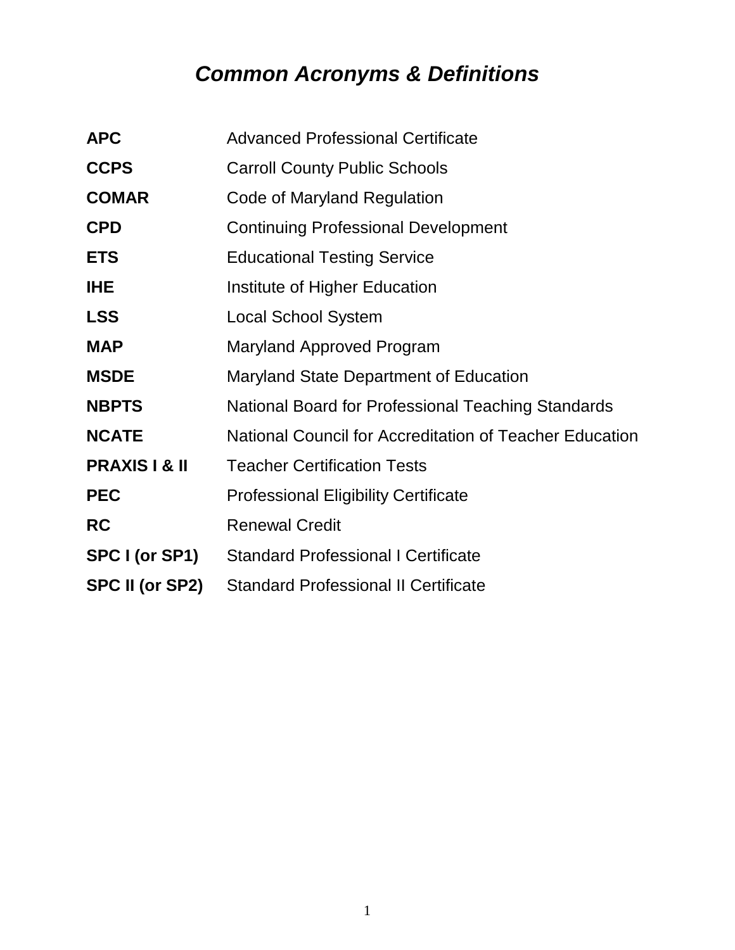# *Common Acronyms & Definitions*

| <b>APC</b>               | <b>Advanced Professional Certificate</b>                |
|--------------------------|---------------------------------------------------------|
| <b>CCPS</b>              | <b>Carroll County Public Schools</b>                    |
| <b>COMAR</b>             | Code of Maryland Regulation                             |
| <b>CPD</b>               | <b>Continuing Professional Development</b>              |
| <b>ETS</b>               | <b>Educational Testing Service</b>                      |
| <b>IHE</b>               | Institute of Higher Education                           |
| <b>LSS</b>               | Local School System                                     |
| <b>MAP</b>               | Maryland Approved Program                               |
| <b>MSDE</b>              | Maryland State Department of Education                  |
| <b>NBPTS</b>             | National Board for Professional Teaching Standards      |
| <b>NCATE</b>             | National Council for Accreditation of Teacher Education |
| <b>PRAXIS I &amp; II</b> | <b>Teacher Certification Tests</b>                      |
| <b>PEC</b>               | <b>Professional Eligibility Certificate</b>             |
| <b>RC</b>                | <b>Renewal Credit</b>                                   |
| SPC I (or SP1)           | <b>Standard Professional I Certificate</b>              |
| SPC II (or SP2)          | <b>Standard Professional II Certificate</b>             |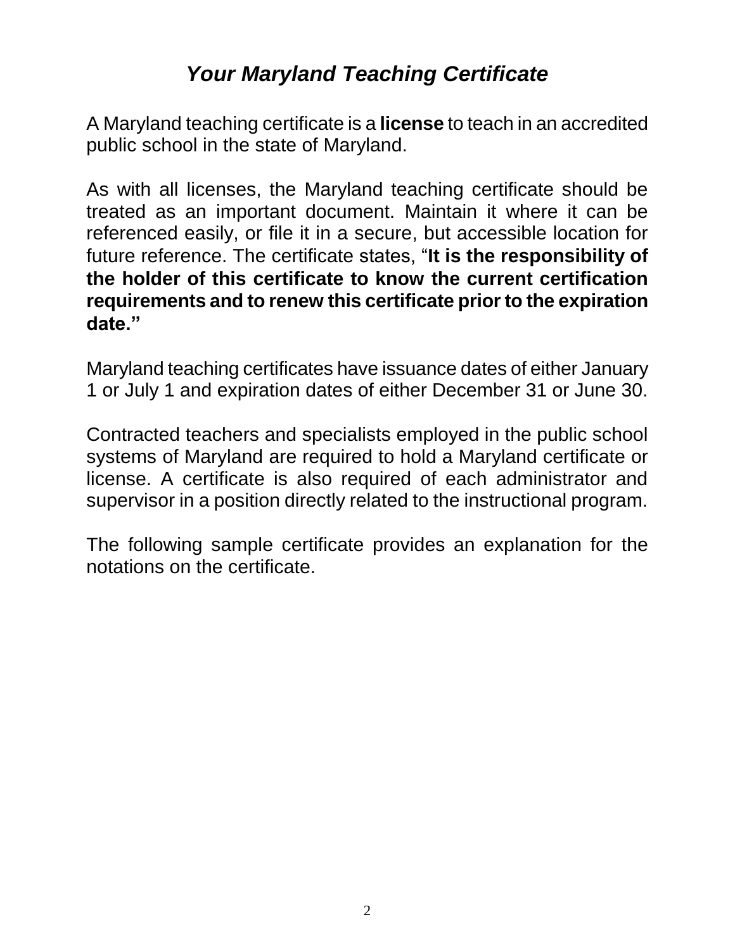## *Your Maryland Teaching Certificate*

A Maryland teaching certificate is a **license** to teach in an accredited public school in the state of Maryland.

As with all licenses, the Maryland teaching certificate should be treated as an important document. Maintain it where it can be referenced easily, or file it in a secure, but accessible location for future reference. The certificate states, "**It is the responsibility of the holder of this certificate to know the current certification requirements and to renew this certificate prior to the expiration date."**

Maryland teaching certificates have issuance dates of either January 1 or July 1 and expiration dates of either December 31 or June 30.

Contracted teachers and specialists employed in the public school systems of Maryland are required to hold a Maryland certificate or license. A certificate is also required of each administrator and supervisor in a position directly related to the instructional program.

The following sample certificate provides an explanation for the notations on the certificate.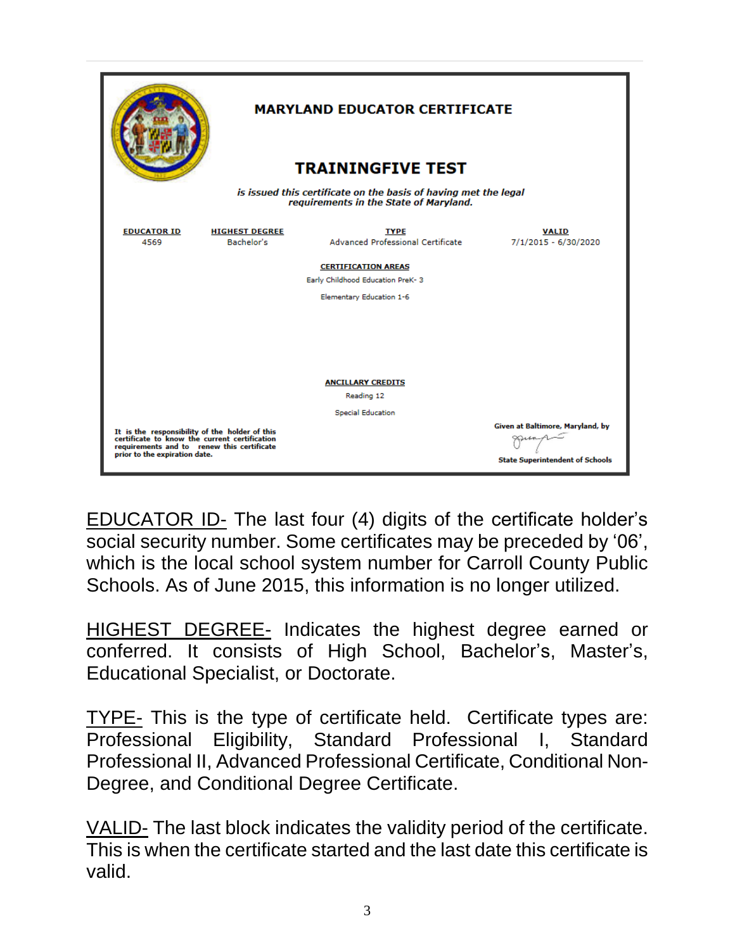|                                                                                                                                                                                |                                     | <b>MARYLAND EDUCATOR CERTIFICATE</b>                           |                                                                            |  |
|--------------------------------------------------------------------------------------------------------------------------------------------------------------------------------|-------------------------------------|----------------------------------------------------------------|----------------------------------------------------------------------------|--|
| <b>TRAININGFIVE TEST</b>                                                                                                                                                       |                                     |                                                                |                                                                            |  |
| is issued this certificate on the basis of having met the legal<br>requirements in the State of Maryland.                                                                      |                                     |                                                                |                                                                            |  |
| <b>EDUCATOR ID</b><br>4569                                                                                                                                                     | <b>HIGHEST DEGREE</b><br>Bachelor's | <b>TYPE</b><br>Advanced Professional Certificate               | <b>VALID</b><br>7/1/2015 - 6/30/2020                                       |  |
|                                                                                                                                                                                |                                     | <b>CERTIFICATION AREAS</b><br>Early Childhood Education PreK-3 |                                                                            |  |
|                                                                                                                                                                                |                                     | Elementary Education 1-6                                       |                                                                            |  |
|                                                                                                                                                                                |                                     |                                                                |                                                                            |  |
|                                                                                                                                                                                |                                     | <b>ANCILLARY CREDITS</b>                                       |                                                                            |  |
| Reading 12                                                                                                                                                                     |                                     |                                                                |                                                                            |  |
| <b>Special Education</b>                                                                                                                                                       |                                     |                                                                |                                                                            |  |
| It is the responsibility of the holder of this<br>certificate to know the current certification<br>requirements and to renew this certificate<br>prior to the expiration date. |                                     |                                                                | Given at Baltimore, Maryland, by<br><b>State Superintendent of Schools</b> |  |

EDUCATOR ID- The last four (4) digits of the certificate holder's social security number. Some certificates may be preceded by '06', which is the local school system number for Carroll County Public Schools. As of June 2015, this information is no longer utilized.

HIGHEST DEGREE- Indicates the highest degree earned or conferred. It consists of High School, Bachelor's, Master's, Educational Specialist, or Doctorate.

TYPE- This is the type of certificate held. Certificate types are: Professional Eligibility, Standard Professional I, Standard Professional II, Advanced Professional Certificate, Conditional Non-Degree, and Conditional Degree Certificate.

VALID- The last block indicates the validity period of the certificate. This is when the certificate started and the last date this certificate is valid.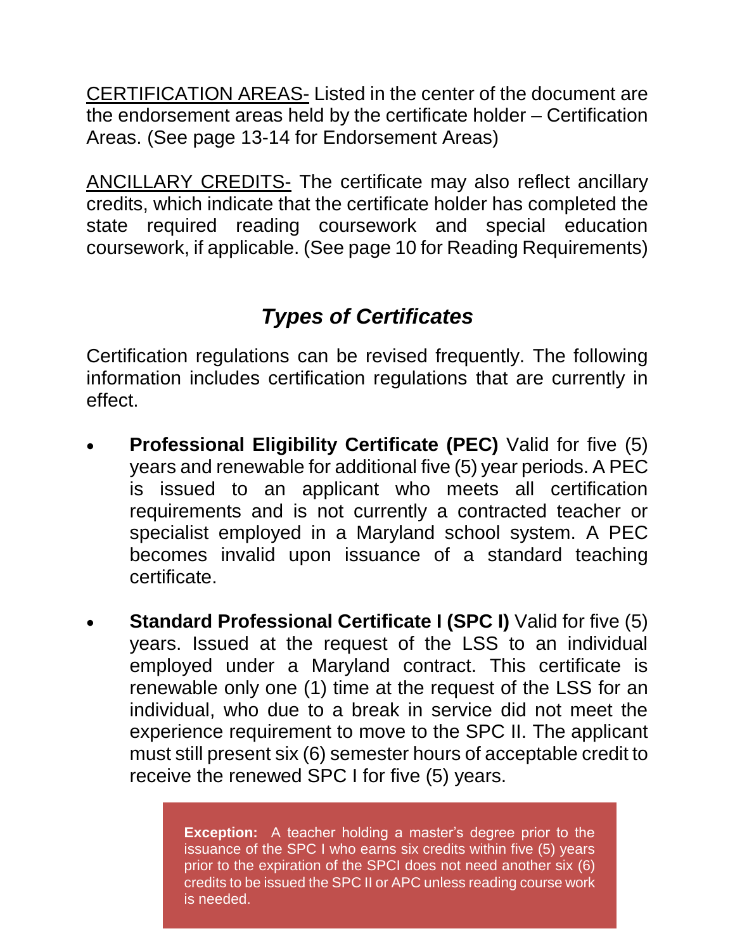CERTIFICATION AREAS- Listed in the center of the document are the endorsement areas held by the certificate holder – Certification Areas. (See page 13-14 for Endorsement Areas)

ANCILLARY CREDITS- The certificate may also reflect ancillary credits, which indicate that the certificate holder has completed the state required reading coursework and special education coursework, if applicable. (See page 10 for Reading Requirements)

## *Types of Certificates*

Certification regulations can be revised frequently. The following information includes certification regulations that are currently in effect.

- **Professional Eligibility Certificate (PEC)** Valid for five (5) years and renewable for additional five (5) year periods. A PEC is issued to an applicant who meets all certification requirements and is not currently a contracted teacher or specialist employed in a Maryland school system. A PEC becomes invalid upon issuance of a standard teaching certificate.
- **Standard Professional Certificate I (SPC I)** Valid for five (5) years. Issued at the request of the LSS to an individual employed under a Maryland contract. This certificate is renewable only one (1) time at the request of the LSS for an individual, who due to a break in service did not meet the experience requirement to move to the SPC II. The applicant must still present six (6) semester hours of acceptable credit to receive the renewed SPC I for five (5) years.

**Exception:** A teacher holding a master's degree prior to the issuance of the SPC I who earns six credits within five (5) years prior to the expiration of the SPCI does not need another six (6) credits to be issued the SPC II or APC unless reading course work is needed.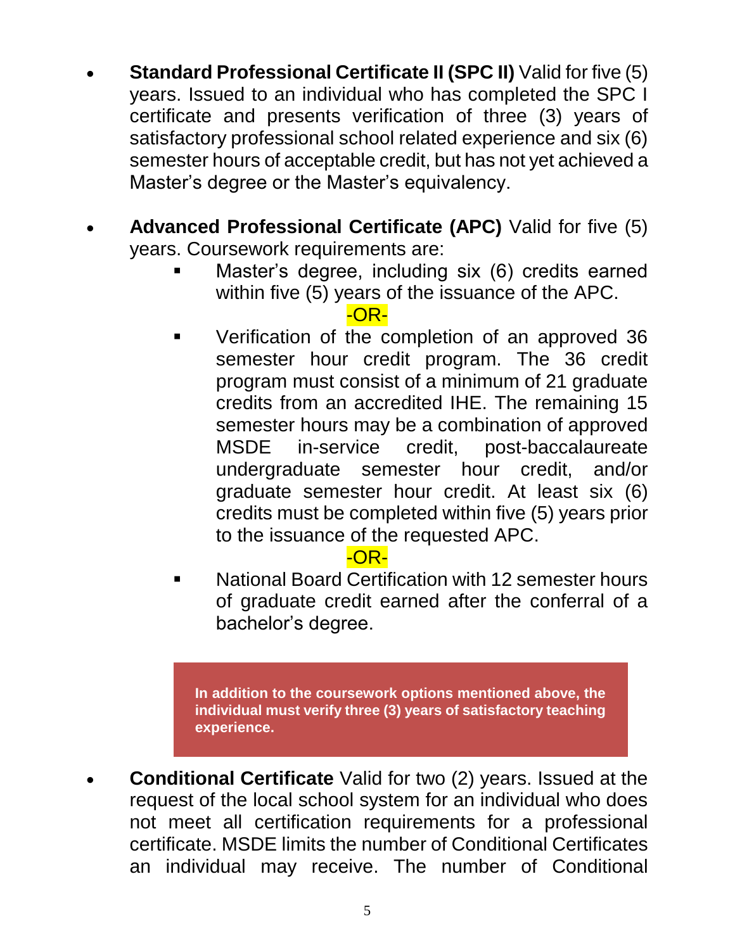- **Standard Professional Certificate II (SPC II)** Valid for five (5) years. Issued to an individual who has completed the SPC I certificate and presents verification of three (3) years of satisfactory professional school related experience and six (6) semester hours of acceptable credit, but has not yet achieved a Master's degree or the Master's equivalency.
- **Advanced Professional Certificate (APC)** Valid for five (5) years. Coursework requirements are:
	- Master's degree, including six (6) credits earned within five (5) years of the issuance of the APC.

#### -OR-

 Verification of the completion of an approved 36 semester hour credit program. The 36 credit program must consist of a minimum of 21 graduate credits from an accredited IHE. The remaining 15 semester hours may be a combination of approved MSDE in-service credit, post-baccalaureate undergraduate semester hour credit, and/or graduate semester hour credit. At least six (6) credits must be completed within five (5) years prior to the issuance of the requested APC.

#### -OR-

 National Board Certification with 12 semester hours of graduate credit earned after the conferral of a bachelor's degree.

**In addition to the coursework options mentioned above, the individual must verify three (3) years of satisfactory teaching experience.**

 **Conditional Certificate** Valid for two (2) years. Issued at the request of the local school system for an individual who does not meet all certification requirements for a professional certificate. MSDE limits the number of Conditional Certificates an individual may receive. The number of Conditional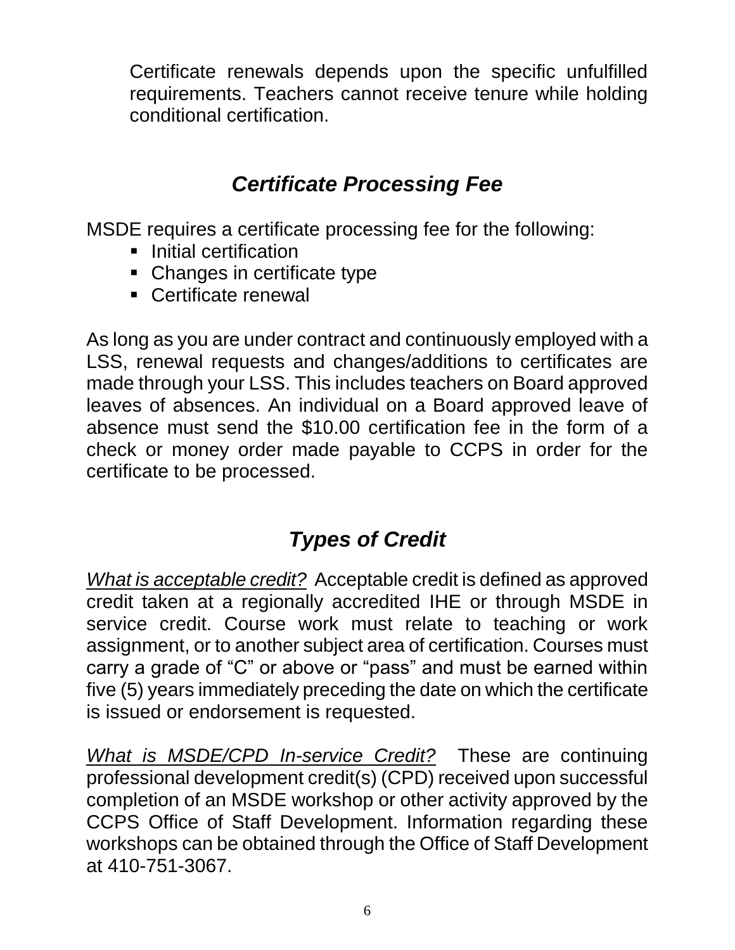Certificate renewals depends upon the specific unfulfilled requirements. Teachers cannot receive tenure while holding conditional certification.

## *Certificate Processing Fee*

MSDE requires a certificate processing fee for the following:

- $\blacksquare$  Initial certification
- Changes in certificate type
- Certificate renewal

As long as you are under contract and continuously employed with a LSS, renewal requests and changes/additions to certificates are made through your LSS. This includes teachers on Board approved leaves of absences. An individual on a Board approved leave of absence must send the \$10.00 certification fee in the form of a check or money order made payable to CCPS in order for the certificate to be processed.

## *Types of Credit*

*What is acceptable credit?* Acceptable credit is defined as approved credit taken at a regionally accredited IHE or through MSDE in service credit. Course work must relate to teaching or work assignment, or to another subject area of certification. Courses must carry a grade of "C" or above or "pass" and must be earned within five (5) years immediately preceding the date on which the certificate is issued or endorsement is requested.

*What is MSDE/CPD In-service Credit?* These are continuing professional development credit(s) (CPD) received upon successful completion of an MSDE workshop or other activity approved by the CCPS Office of Staff Development. Information regarding these workshops can be obtained through the Office of Staff Development at 410-751-3067.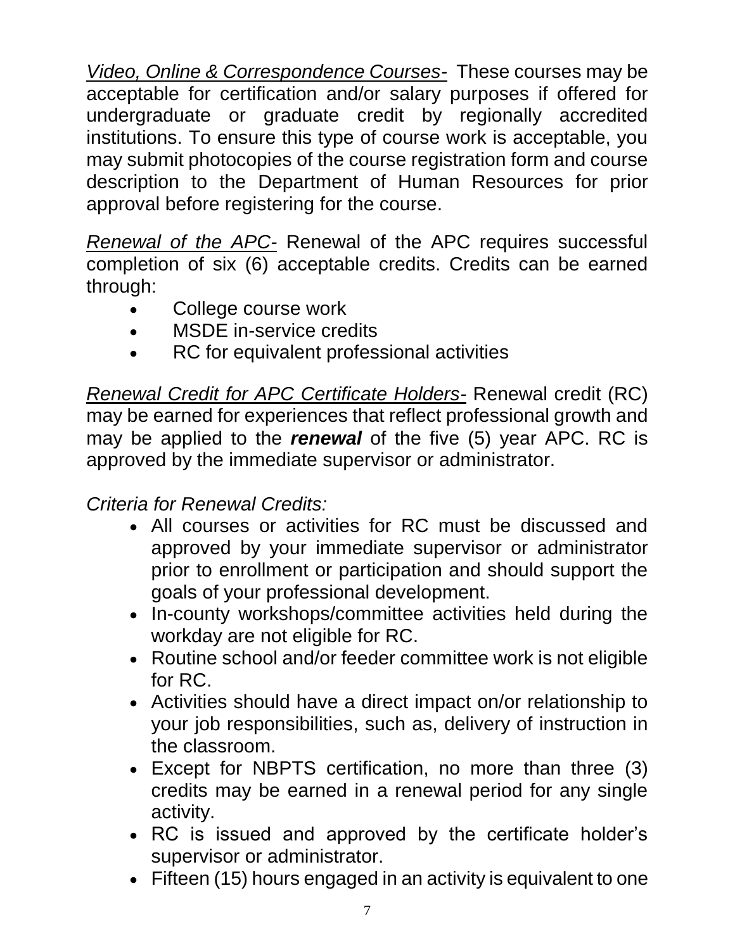*Video, Online & Correspondence Courses-*These courses may be acceptable for certification and/or salary purposes if offered for undergraduate or graduate credit by regionally accredited institutions. To ensure this type of course work is acceptable, you may submit photocopies of the course registration form and course description to the Department of Human Resources for prior approval before registering for the course.

*Renewal of the APC-* Renewal of the APC requires successful completion of six (6) acceptable credits. Credits can be earned through:

- College course work
- MSDE in-service credits
- RC for equivalent professional activities

*Renewal Credit for APC Certificate Holders-* Renewal credit (RC) may be earned for experiences that reflect professional growth and may be applied to the *renewal* of the five (5) year APC. RC is approved by the immediate supervisor or administrator.

### *Criteria for Renewal Credits:*

- All courses or activities for RC must be discussed and approved by your immediate supervisor or administrator prior to enrollment or participation and should support the goals of your professional development.
- In-county workshops/committee activities held during the workday are not eligible for RC.
- Routine school and/or feeder committee work is not eligible for RC.
- Activities should have a direct impact on/or relationship to your job responsibilities, such as, delivery of instruction in the classroom.
- Except for NBPTS certification, no more than three (3) credits may be earned in a renewal period for any single activity.
- RC is issued and approved by the certificate holder's supervisor or administrator.
- Fifteen (15) hours engaged in an activity is equivalent to one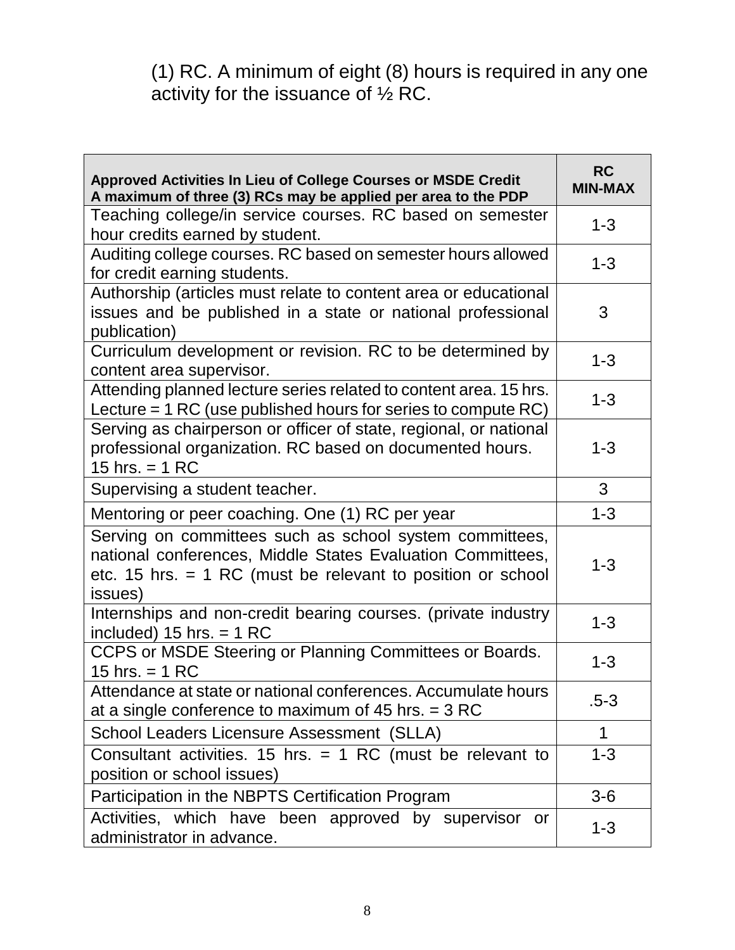(1) RC. A minimum of eight (8) hours is required in any one activity for the issuance of  $\frac{1}{2}$  RC.

| Approved Activities In Lieu of College Courses or MSDE Credit<br>A maximum of three (3) RCs may be applied per area to the PDP                                                                    | <b>RC</b><br><b>MIN-MAX</b> |
|---------------------------------------------------------------------------------------------------------------------------------------------------------------------------------------------------|-----------------------------|
| Teaching college/in service courses. RC based on semester<br>hour credits earned by student.                                                                                                      | $1 - 3$                     |
| Auditing college courses. RC based on semester hours allowed<br>for credit earning students.                                                                                                      | $1 - 3$                     |
| Authorship (articles must relate to content area or educational<br>issues and be published in a state or national professional<br>publication)                                                    | 3                           |
| Curriculum development or revision. RC to be determined by<br>content area supervisor.                                                                                                            | $1 - 3$                     |
| Attending planned lecture series related to content area. 15 hrs.<br>Lecture $=$ 1 RC (use published hours for series to compute RC)                                                              | $1 - 3$                     |
| Serving as chairperson or officer of state, regional, or national<br>professional organization. RC based on documented hours.<br>15 hrs. $= 1 RC$                                                 | $1 - 3$                     |
| Supervising a student teacher.                                                                                                                                                                    | 3                           |
| Mentoring or peer coaching. One (1) RC per year                                                                                                                                                   | $1 - 3$                     |
| Serving on committees such as school system committees,<br>national conferences, Middle States Evaluation Committees,<br>etc. 15 hrs. $=$ 1 RC (must be relevant to position or school<br>issues) | $1 - 3$                     |
| Internships and non-credit bearing courses. (private industry<br>included) $15$ hrs. = 1 RC                                                                                                       | $1 - 3$                     |
| CCPS or MSDE Steering or Planning Committees or Boards.<br>15 hrs. $= 1 RC$                                                                                                                       | $1 - 3$                     |
| Attendance at state or national conferences. Accumulate hours<br>at a single conference to maximum of 45 hrs. $=$ 3 RC                                                                            | $.5 - 3$                    |
| School Leaders Licensure Assessment (SLLA)                                                                                                                                                        | 1                           |
| Consultant activities. 15 hrs. $=$ 1 RC (must be relevant to<br>position or school issues)                                                                                                        | $1 - 3$                     |
| Participation in the NBPTS Certification Program                                                                                                                                                  | $3-6$                       |
| Activities, which have been approved by supervisor<br>or<br>administrator in advance.                                                                                                             | $1 - 3$                     |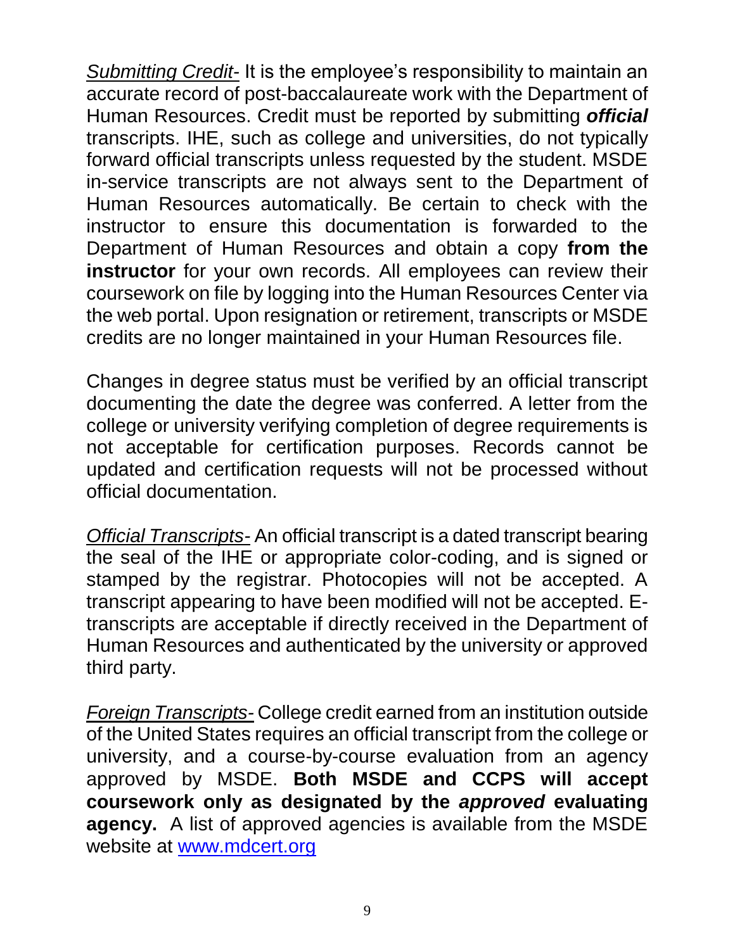*Submitting Credit-* It is the employee's responsibility to maintain an accurate record of post-baccalaureate work with the Department of Human Resources. Credit must be reported by submitting *official* transcripts. IHE, such as college and universities, do not typically forward official transcripts unless requested by the student. MSDE in-service transcripts are not always sent to the Department of Human Resources automatically. Be certain to check with the instructor to ensure this documentation is forwarded to the Department of Human Resources and obtain a copy **from the instructor** for your own records. All employees can review their coursework on file by logging into the Human Resources Center via the web portal. Upon resignation or retirement, transcripts or MSDE credits are no longer maintained in your Human Resources file.

Changes in degree status must be verified by an official transcript documenting the date the degree was conferred. A letter from the college or university verifying completion of degree requirements is not acceptable for certification purposes. Records cannot be updated and certification requests will not be processed without official documentation.

*Official Transcripts-* An official transcript is a dated transcript bearing the seal of the IHE or appropriate color-coding, and is signed or stamped by the registrar. Photocopies will not be accepted. A transcript appearing to have been modified will not be accepted. Etranscripts are acceptable if directly received in the Department of Human Resources and authenticated by the university or approved third party.

*Foreign Transcripts-* College credit earned from an institution outside of the United States requires an official transcript from the college or university, and a course-by-course evaluation from an agency approved by MSDE. **Both MSDE and CCPS will accept coursework only as designated by the** *approved* **evaluating agency.** A list of approved agencies is available from the MSDE website at [www.mdcert.org](http://www.mdcert.org/)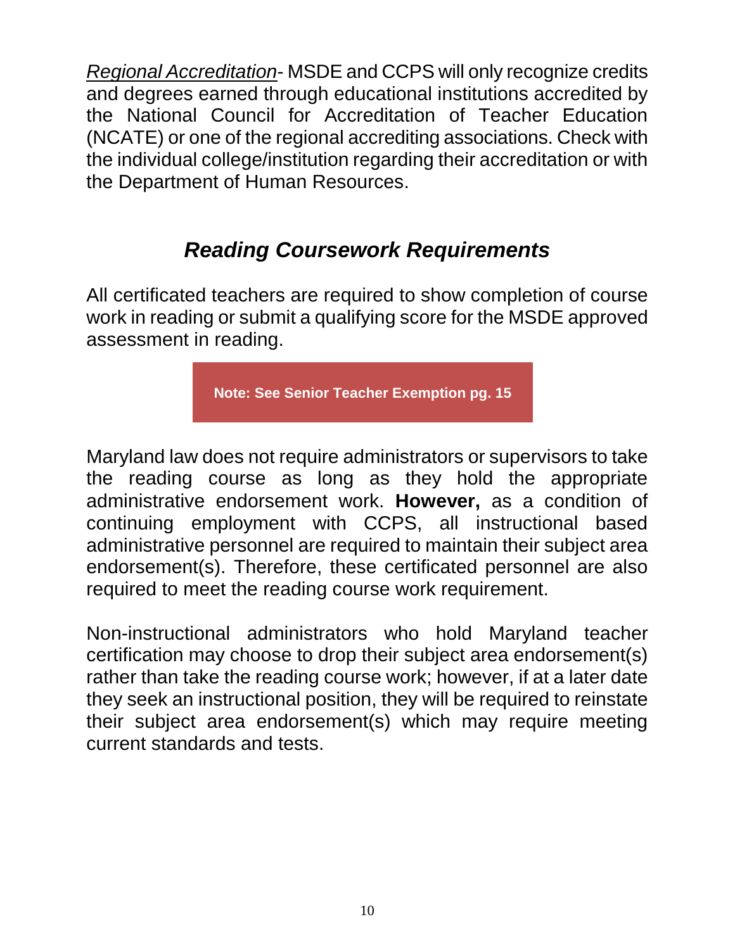*Regional Accreditation*- MSDE and CCPS will only recognize credits and degrees earned through educational institutions accredited by the National Council for Accreditation of Teacher Education (NCATE) or one of the regional accrediting associations. Check with the individual college/institution regarding their accreditation or with the Department of Human Resources.

## *Reading Coursework Requirements*

All certificated teachers are required to show completion of course work in reading or submit a qualifying score for the MSDE approved assessment in reading.

**Note: See Senior Teacher Exemption pg. 15**

Maryland law does not require administrators or supervisors to take the reading course as long as they hold the appropriate administrative endorsement work. **However,** as a condition of continuing employment with CCPS, all instructional based administrative personnel are required to maintain their subject area endorsement(s). Therefore, these certificated personnel are also required to meet the reading course work requirement.

Non-instructional administrators who hold Maryland teacher certification may choose to drop their subject area endorsement(s) rather than take the reading course work; however, if at a later date they seek an instructional position, they will be required to reinstate their subject area endorsement(s) which may require meeting current standards and tests.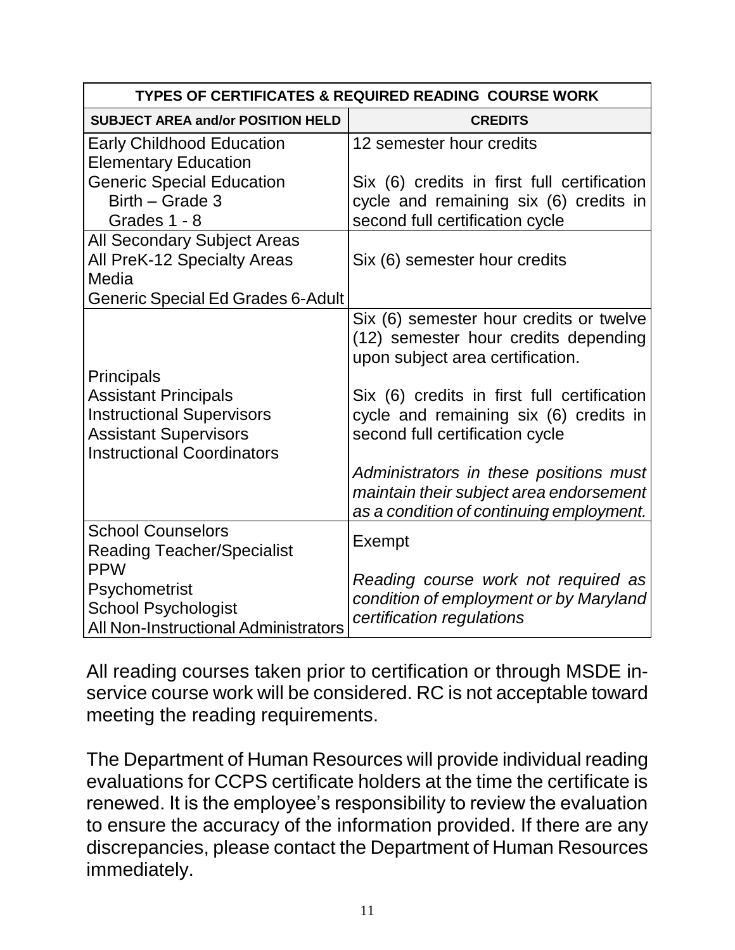| TYPES OF CERTIFICATES & REQUIRED READING COURSE WORK                                                                                                      |                                                                                                                                                                                                                                                                                                                                      |  |
|-----------------------------------------------------------------------------------------------------------------------------------------------------------|--------------------------------------------------------------------------------------------------------------------------------------------------------------------------------------------------------------------------------------------------------------------------------------------------------------------------------------|--|
| <b>SUBJECT AREA and/or POSITION HELD</b>                                                                                                                  | <b>CREDITS</b>                                                                                                                                                                                                                                                                                                                       |  |
| <b>Early Childhood Education</b><br><b>Elementary Education</b><br><b>Generic Special Education</b><br>Birth - Grade 3                                    | 12 semester hour credits<br>Six (6) credits in first full certification<br>cycle and remaining six (6) credits in                                                                                                                                                                                                                    |  |
| Grades 1 - 8                                                                                                                                              | second full certification cycle                                                                                                                                                                                                                                                                                                      |  |
| <b>All Secondary Subject Areas</b><br>All PreK-12 Specialty Areas<br>Media                                                                                | Six (6) semester hour credits                                                                                                                                                                                                                                                                                                        |  |
| Generic Special Ed Grades 6-Adult                                                                                                                         |                                                                                                                                                                                                                                                                                                                                      |  |
| <b>Principals</b><br><b>Assistant Principals</b><br><b>Instructional Supervisors</b><br><b>Assistant Supervisors</b><br><b>Instructional Coordinators</b> | Six (6) semester hour credits or twelve<br>(12) semester hour credits depending<br>upon subject area certification.<br>Six (6) credits in first full certification<br>cycle and remaining six (6) credits in<br>second full certification cycle<br>Administrators in these positions must<br>maintain their subject area endorsement |  |
| <b>School Counselors</b>                                                                                                                                  | as a condition of continuing employment.                                                                                                                                                                                                                                                                                             |  |
| <b>Reading Teacher/Specialist</b><br><b>PPW</b><br>Psychometrist<br><b>School Psychologist</b><br><b>All Non-Instructional Administrators</b>             | Exempt<br>Reading course work not required as<br>condition of employment or by Maryland<br>certification regulations                                                                                                                                                                                                                 |  |

All reading courses taken prior to certification or through MSDE inservice course work will be considered. RC is not acceptable toward meeting the reading requirements.

The Department of Human Resources will provide individual reading evaluations for CCPS certificate holders at the time the certificate is renewed. It is the employee's responsibility to review the evaluation to ensure the accuracy of the information provided. If there are any discrepancies, please contact the Department of Human Resources immediately.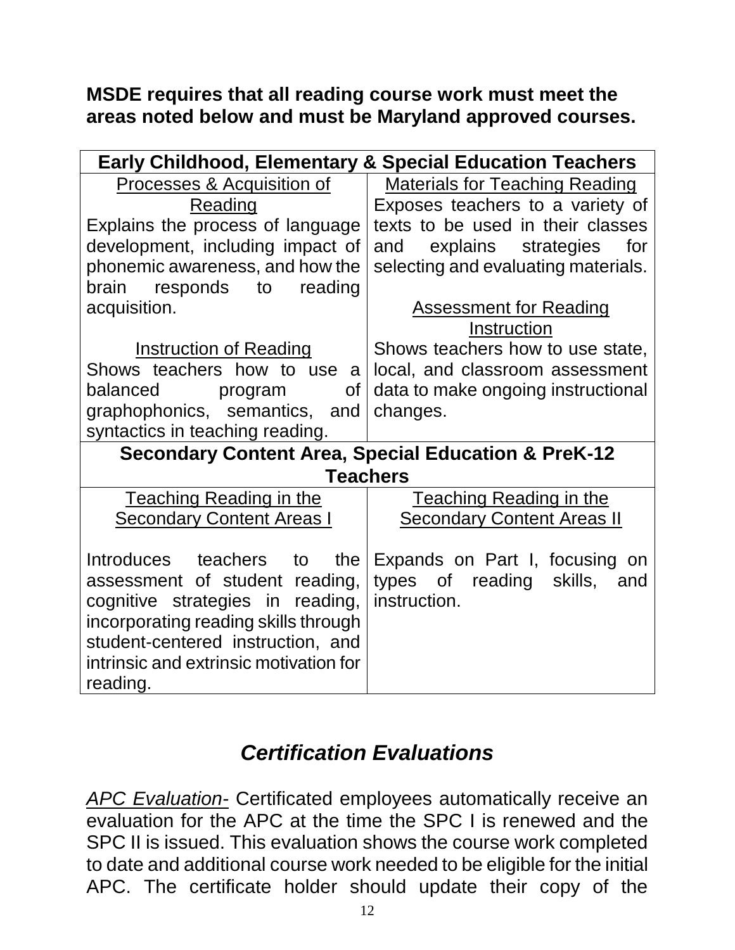#### **MSDE requires that all reading course work must meet the areas noted below and must be Maryland approved courses.**

| <b>Early Childhood, Elementary &amp; Special Education Teachers</b> |                                       |  |  |
|---------------------------------------------------------------------|---------------------------------------|--|--|
| Processes & Acquisition of                                          | <b>Materials for Teaching Reading</b> |  |  |
| Reading                                                             | Exposes teachers to a variety of      |  |  |
| Explains the process of language                                    | texts to be used in their classes     |  |  |
| development, including impact of                                    | and explains strategies<br>for        |  |  |
| phonemic awareness, and how the                                     | selecting and evaluating materials.   |  |  |
| brain<br>responds to<br>reading                                     |                                       |  |  |
| acquisition.                                                        | <b>Assessment for Reading</b>         |  |  |
|                                                                     | Instruction                           |  |  |
| <b>Instruction of Reading</b>                                       | Shows teachers how to use state,      |  |  |
| Shows teachers how to use a                                         | local, and classroom assessment       |  |  |
| balanced<br>Οf<br>program                                           | data to make ongoing instructional    |  |  |
| graphophonics, semantics, and                                       | changes.                              |  |  |
| syntactics in teaching reading.                                     |                                       |  |  |
| <b>Secondary Content Area, Special Education &amp; PreK-12</b>      |                                       |  |  |
|                                                                     | <b>Teachers</b>                       |  |  |
| <b>Teaching Reading in the</b>                                      | <b>Teaching Reading in the</b>        |  |  |
| <b>Secondary Content Areas I</b>                                    | <b>Secondary Content Areas II</b>     |  |  |
|                                                                     |                                       |  |  |
| Introduces teachers to the                                          | Expands on Part I, focusing on        |  |  |
| assessment of student reading,                                      | types of reading<br>skills,<br>and    |  |  |
| cognitive strategies in reading,                                    | instruction.                          |  |  |
| incorporating reading skills through                                |                                       |  |  |
| student-centered instruction, and                                   |                                       |  |  |
| intrinsic and extrinsic motivation for                              |                                       |  |  |
| reading.                                                            |                                       |  |  |

## *Certification Evaluations*

*APC Evaluation-* Certificated employees automatically receive an evaluation for the APC at the time the SPC I is renewed and the SPC II is issued. This evaluation shows the course work completed to date and additional course work needed to be eligible for the initial APC. The certificate holder should update their copy of the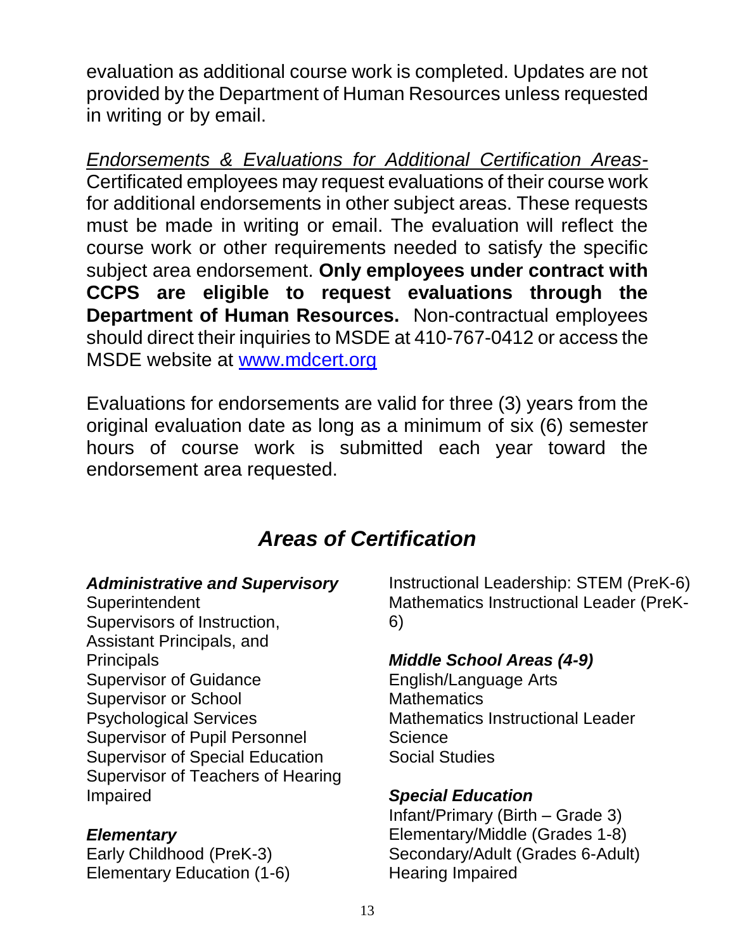evaluation as additional course work is completed. Updates are not provided by the Department of Human Resources unless requested in writing or by email.

*Endorsements & Evaluations for Additional Certification Areas-*Certificated employees may request evaluations of their course work for additional endorsements in other subject areas. These requests must be made in writing or email. The evaluation will reflect the course work or other requirements needed to satisfy the specific subject area endorsement. **Only employees under contract with CCPS are eligible to request evaluations through the Department of Human Resources.** Non-contractual employees should direct their inquiries to MSDE at 410-767-0412 or access the MSDE website at [www.mdcert.org](http://www.mdcert.org/)

Evaluations for endorsements are valid for three (3) years from the original evaluation date as long as a minimum of six (6) semester hours of course work is submitted each year toward the endorsement area requested.

## *Areas of Certification*

#### *Administrative and Supervisory*

**Superintendent** Supervisors of Instruction, Assistant Principals, and **Principals** Supervisor of Guidance Supervisor or School Psychological Services Supervisor of Pupil Personnel Supervisor of Special Education Supervisor of Teachers of Hearing Impaired

#### *Elementary*

Early Childhood (PreK-3) Elementary Education (1-6)

Instructional Leadership: STEM (PreK-6) Mathematics Instructional Leader (PreK-6)

#### *Middle School Areas (4-9)*

English/Language Arts **Mathematics** Mathematics Instructional Leader **Science** Social Studies

#### *Special Education*

Infant/Primary (Birth – Grade 3) Elementary/Middle (Grades 1-8) Secondary/Adult (Grades 6-Adult) Hearing Impaired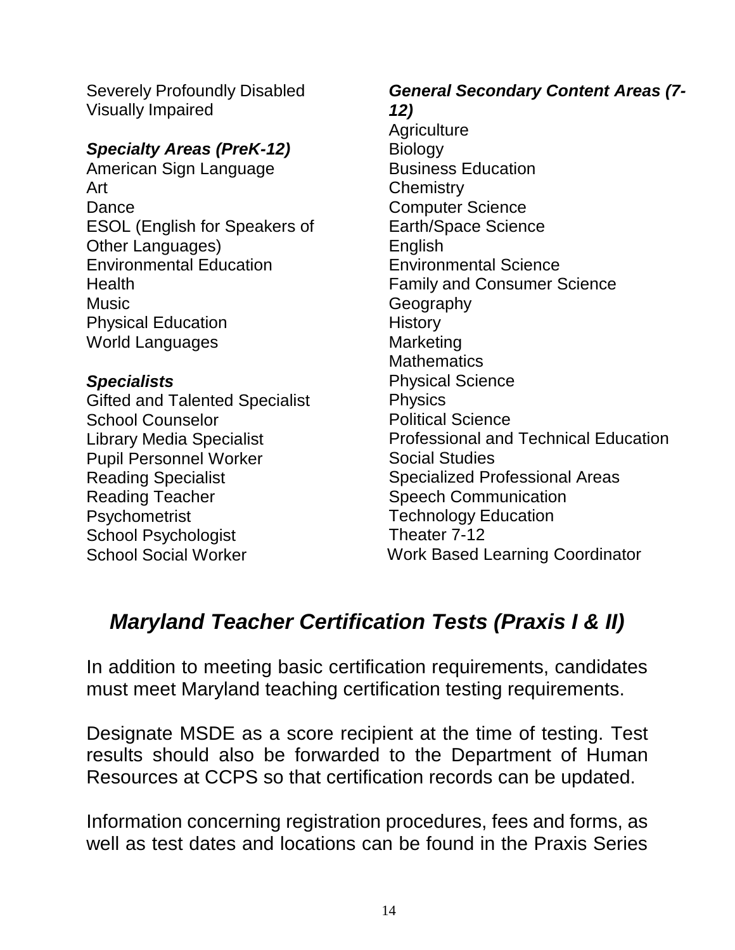Severely Profoundly Disabled Visually Impaired

#### *Specialty Areas (PreK-12)*

American Sign Language Art Dance ESOL (English for Speakers of Other Languages) Environmental Education **Health Music** Physical Education World Languages

#### *Specialists*

Gifted and Talented Specialist School Counselor Library Media Specialist Pupil Personnel Worker Reading Specialist Reading Teacher Psychometrist School Psychologist School Social Worker

### *General Secondary Content Areas (7- 12)*

**Agriculture Biology** Business Education **Chemistry** Computer Science Earth/Space Science English Environmental Science Family and Consumer Science **Geography History Marketing Mathematics** Physical Science **Physics** Political Science Professional and Technical Education Social Studies Specialized Professional Areas Speech Communication Technology Education Theater 7-12 Work Based Learning Coordinator

## *Maryland Teacher Certification Tests (Praxis I & II)*

In addition to meeting basic certification requirements, candidates must meet Maryland teaching certification testing requirements.

Designate MSDE as a score recipient at the time of testing. Test results should also be forwarded to the Department of Human Resources at CCPS so that certification records can be updated.

Information concerning registration procedures, fees and forms, as well as test dates and locations can be found in the Praxis Series